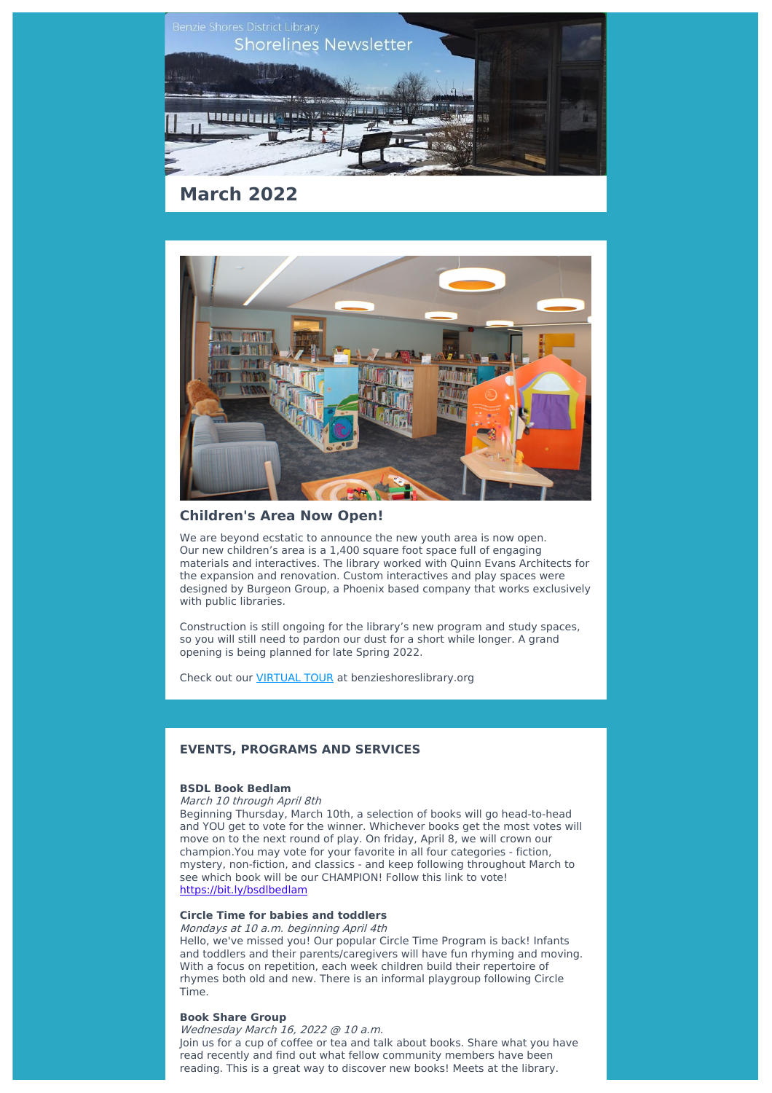



### **Children's Area Now Open!**

We are beyond ecstatic to announce the new youth area is now open. Our new children's area is a 1,400 square foot space full of engaging materials and interactives. The library worked with Quinn Evans Architects for the expansion and renovation. Custom interactives and play spaces were designed by Burgeon Group, a Phoenix based company that works exclusively with public libraries.

Construction is still ongoing for the library's new program and study spaces, so you will still need to pardon our dust for a short while longer. A grand opening is being planned for late Spring 2022.

Check out our [VIRTUAL](http://benzieshoreslibrary.org/Pages/Index/225022/virtual-tour?utm_source=sendinblue&utm_campaign=BSDL%20Shorelines%20March%202022&utm_medium=email) TOUR at benzieshoreslibrary.org

## **EVENTS, PROGRAMS AND SERVICES**

## **BSDL Book Bedlam**

#### March 10 through April 8th

Beginning Thursday, March 10th, a selection of books will go head-to-head and YOU get to vote for the winner. Whichever books get the most votes will move on to the next round of play. On friday, April 8, we will crown our champion.You may vote for your favorite in all four categories - fiction, mystery, non-fiction, and classics - and keep following throughout March to see which book will be our CHAMPION! Follow this link to vote! [https://bit.ly/bsdlbedlam](https://bit.ly/bsdlbedlam?utm_source=sendinblue&utm_campaign=BSDL%20Shorelines%20March%202022&utm_medium=email)

## **Circle Time for babies and toddlers**

Mondays at 10 a.m. beginning April 4th Hello, we've missed you! Our popular Circle Time Program is back! Infants and toddlers and their parents/caregivers will have fun rhyming and moving. With a focus on repetition, each week children build their repertoire of rhymes both old and new. There is an informal playgroup following Circle Time.

#### **Book Share Group**

Wednesday March 16, 2022 @ 10 a.m. Join us for a cup of coffee or tea and talk about books. Share what you have read recently and find out what fellow community members have been reading. This is a great way to discover new books! Meets at the library.